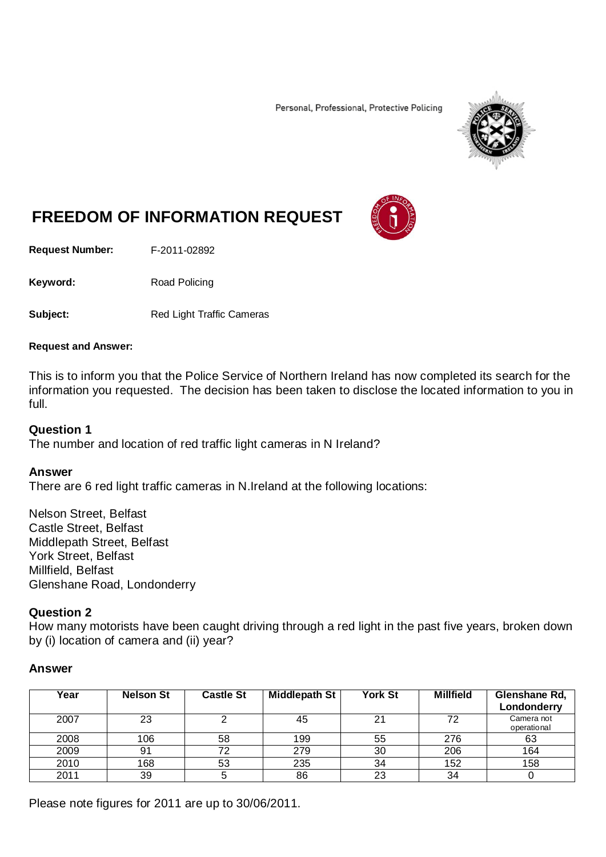Personal, Professional, Protective Policing



# **FREEDOM OF INFORMATION REQUEST**

**Request Number:** F-2011-02892

Keyword: Road Policing

**Subject:** Red Light Traffic Cameras

#### **Request and Answer:**

This is to inform you that the Police Service of Northern Ireland has now completed its search for the information you requested. The decision has been taken to disclose the located information to you in full.

## **Question 1**

The number and location of red traffic light cameras in N Ireland?

#### **Answer**

There are 6 red light traffic cameras in N.Ireland at the following locations:

Nelson Street, Belfast Castle Street, Belfast Middlepath Street, Belfast York Street, Belfast Millfield, Belfast Glenshane Road, Londonderry

#### **Question 2**

How many motorists have been caught driving through a red light in the past five years, broken down by (i) location of camera and (ii) year?

#### **Answer**

| Year | <b>Nelson St</b> | <b>Castle St</b> | <b>Middlepath St</b> | <b>York St</b> | <b>Millfield</b> | Glenshane Rd,<br>Londonderry |
|------|------------------|------------------|----------------------|----------------|------------------|------------------------------|
| 2007 | 23               |                  | 45                   | 21             | 72               | Camera not<br>operational    |
| 2008 | 106              | 58               | 199                  | 55             | 276              | 63                           |
| 2009 | 91               | 72               | 279                  | 30             | 206              | 164                          |
| 2010 | 168              | 53               | 235                  | 34             | 152              | 158                          |
| 2011 | 39               |                  | 86                   | 23             | 34               |                              |

Please note figures for 2011 are up to 30/06/2011.